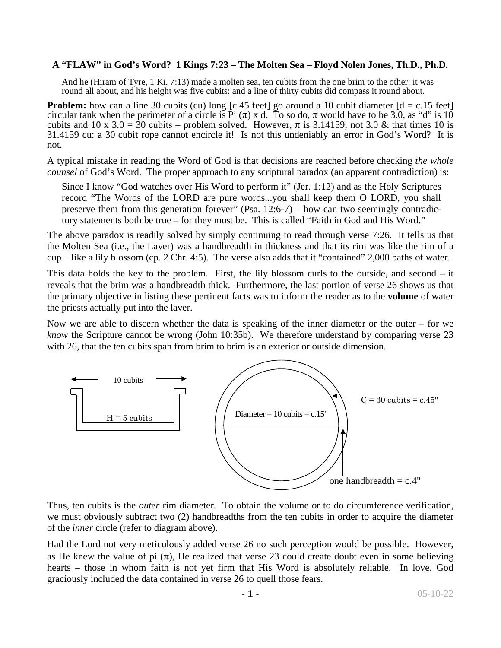## **A "FLAW" in God's Word? 1 Kings 7:23 – The Molten Sea ‒ Floyd Nolen Jones, Th.D., Ph.D.**

And he (Hiram of Tyre, 1 Ki. 7:13) made a molten sea, ten cubits from the one brim to the other: it was round all about, and his height was five cubits: and a line of thirty cubits did compass it round about.

**Problem:** how can a line 30 cubits (cu) long [c.45 feet] go around a 10 cubit diameter  $\begin{bmatrix} d = c.15 \end{bmatrix}$  feet] circular tank when the perimeter of a circle is Pi  $(\pi)$  x d. To so do,  $\pi$  would have to be 3.0, as "d" is 10 cubits and 10 x 3.0 = 30 cubits – problem solved. However,  $\pi$  is 3.14159, not 3.0 & that times 10 is 31.4159 cu: a 30 cubit rope cannot encircle it! Is not this undeniably an error in God's Word? It is not.

A typical mistake in reading the Word of God is that decisions are reached before checking *the whole counsel* of God's Word. The proper approach to any scriptural paradox (an apparent contradiction) is:

Since I know "God watches over His Word to perform it" (Jer. 1:12) and as the Holy Scriptures record "The Words of the LORD are pure words...you shall keep them O LORD, you shall preserve them from this generation forever" (Psa.  $12:6-7$ ) – how can two seemingly contradictory statements both be true – for they must be. This is called "Faith in God and His Word."

The above paradox is readily solved by simply continuing to read through verse 7:26. It tells us that the Molten Sea (i.e., the Laver) was a handbreadth in thickness and that its rim was like the rim of a  $cup$  – like a lily blossom (cp. 2 Chr. 4:5). The verse also adds that it "contained" 2,000 baths of water.

This data holds the key to the problem. First, the lily blossom curls to the outside, and second – it reveals that the brim was a handbreadth thick. Furthermore, the last portion of verse 26 shows us that the primary objective in listing these pertinent facts was to inform the reader as to the **volume** of water the priests actually put into the laver.

Now we are able to discern whether the data is speaking of the inner diameter or the outer – for we *know* the Scripture cannot be wrong (John 10:35b). We therefore understand by comparing verse 23 with 26, that the ten cubits span from brim to brim is an exterior or outside dimension.



Thus, ten cubits is the *outer* rim diameter. To obtain the volume or to do circumference verification, we must obviously subtract two (2) handbreadths from the ten cubits in order to acquire the diameter of the *inner* circle (refer to diagram above).

Had the Lord not very meticulously added verse 26 no such perception would be possible. However, as He knew the value of pi  $(\pi)$ , He realized that verse 23 could create doubt even in some believing hearts – those in whom faith is not yet firm that His Word is absolutely reliable. In love, God graciously included the data contained in verse 26 to quell those fears.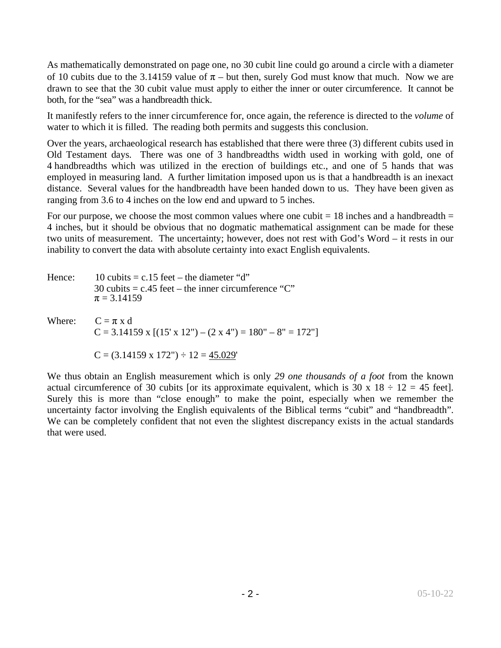As mathematically demonstrated on page one, no 30 cubit line could go around a circle with a diameter of 10 cubits due to the 3.14159 value of  $\pi$  – but then, surely God must know that much. Now we are drawn to see that the 30 cubit value must apply to either the inner or outer circumference. It cannot be both, for the "sea" was a handbreadth thick.

It manifestly refers to the inner circumference for, once again, the reference is directed to the *volume* of water to which it is filled. The reading both permits and suggests this conclusion.

Over the years, archaeological research has established that there were three (3) different cubits used in Old Testament days. There was one of 3 handbreadths width used in working with gold, one of 4 handbreadths which was utilized in the erection of buildings etc., and one of 5 hands that was employed in measuring land. A further limitation imposed upon us is that a handbreadth is an inexact distance. Several values for the handbreadth have been handed down to us. They have been given as ranging from 3.6 to 4 inches on the low end and upward to 5 inches.

For our purpose, we choose the most common values where one cubit  $= 18$  inches and a handbreadth  $=$ 4 inches, but it should be obvious that no dogmatic mathematical assignment can be made for these two units of measurement. The uncertainty; however, does not rest with God's Word – it rests in our inability to convert the data with absolute certainty into exact English equivalents.

| Hence: | 10 cubits $= c.15$ feet – the diameter "d"<br>30 cubits = $c.45$ feet – the inner circumference "C"<br>$\pi = 3.14159$ |
|--------|------------------------------------------------------------------------------------------------------------------------|
|        | Where: $C = \pi x d$<br>$C = 3.14159$ x $[(15' \times 12") - (2 \times 4") = 180" - 8" = 172"]$                        |
|        | $C = (3.14159 \times 172'') \div 12 = 45.029'$                                                                         |

We thus obtain an English measurement which is only *29 one thousands of a foot* from the known actual circumference of 30 cubits [or its approximate equivalent, which is 30 x  $18 \div 12 = 45$  feet]. Surely this is more than "close enough" to make the point, especially when we remember the uncertainty factor involving the English equivalents of the Biblical terms "cubit" and "handbreadth". We can be completely confident that not even the slightest discrepancy exists in the actual standards that were used.